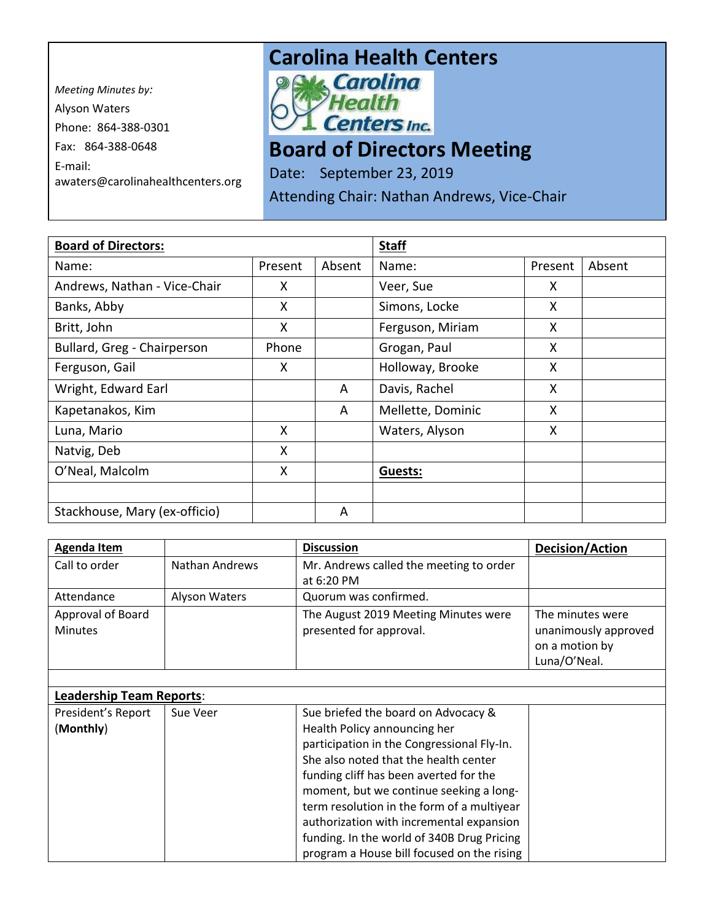*Meeting Minutes by:*  Alyson Waters Phone: 864-388-0301 Fax: 864-388-0648 E-mail: awaters@carolinahealthcenters.org

## **Carolina Health Centers**<br> **PAK Carolina**



## **Board of Directors Meeting**

Date: September 23, 2019

Attending Chair: Nathan Andrews, Vice-Chair

| <b>Board of Directors:</b>    |         |        | <b>Staff</b>      |         |        |
|-------------------------------|---------|--------|-------------------|---------|--------|
| Name:                         | Present | Absent | Name:             | Present | Absent |
| Andrews, Nathan - Vice-Chair  | X       |        | Veer, Sue         | X       |        |
| Banks, Abby                   | X       |        | Simons, Locke     | X       |        |
| Britt, John                   | X       |        | Ferguson, Miriam  | X       |        |
| Bullard, Greg - Chairperson   | Phone   |        | Grogan, Paul      | X       |        |
| Ferguson, Gail                | X       |        | Holloway, Brooke  | X       |        |
| Wright, Edward Earl           |         | A      | Davis, Rachel     | X       |        |
| Kapetanakos, Kim              |         | A      | Mellette, Dominic | X       |        |
| Luna, Mario                   | X       |        | Waters, Alyson    | X       |        |
| Natvig, Deb                   | X       |        |                   |         |        |
| O'Neal, Malcolm               | X       |        | Guests:           |         |        |
|                               |         |        |                   |         |        |
| Stackhouse, Mary (ex-officio) |         | A      |                   |         |        |

| <b>Agenda Item</b>              |                       | <b>Discussion</b>                          | Decision/Action      |
|---------------------------------|-----------------------|--------------------------------------------|----------------------|
| Call to order                   | <b>Nathan Andrews</b> | Mr. Andrews called the meeting to order    |                      |
|                                 |                       | at 6:20 PM                                 |                      |
| Attendance                      | Alyson Waters         | Quorum was confirmed.                      |                      |
| Approval of Board               |                       | The August 2019 Meeting Minutes were       | The minutes were     |
| <b>Minutes</b>                  |                       | presented for approval.                    | unanimously approved |
|                                 |                       |                                            | on a motion by       |
|                                 |                       |                                            | Luna/O'Neal.         |
|                                 |                       |                                            |                      |
| <b>Leadership Team Reports:</b> |                       |                                            |                      |
| President's Report              | Sue Veer              | Sue briefed the board on Advocacy &        |                      |
| (Monthly)                       |                       | Health Policy announcing her               |                      |
|                                 |                       | participation in the Congressional Fly-In. |                      |
|                                 |                       | She also noted that the health center      |                      |
|                                 |                       | funding cliff has been averted for the     |                      |
|                                 |                       | moment, but we continue seeking a long-    |                      |
|                                 |                       | term resolution in the form of a multiyear |                      |
|                                 |                       | authorization with incremental expansion   |                      |
|                                 |                       | funding. In the world of 340B Drug Pricing |                      |
|                                 |                       | program a House bill focused on the rising |                      |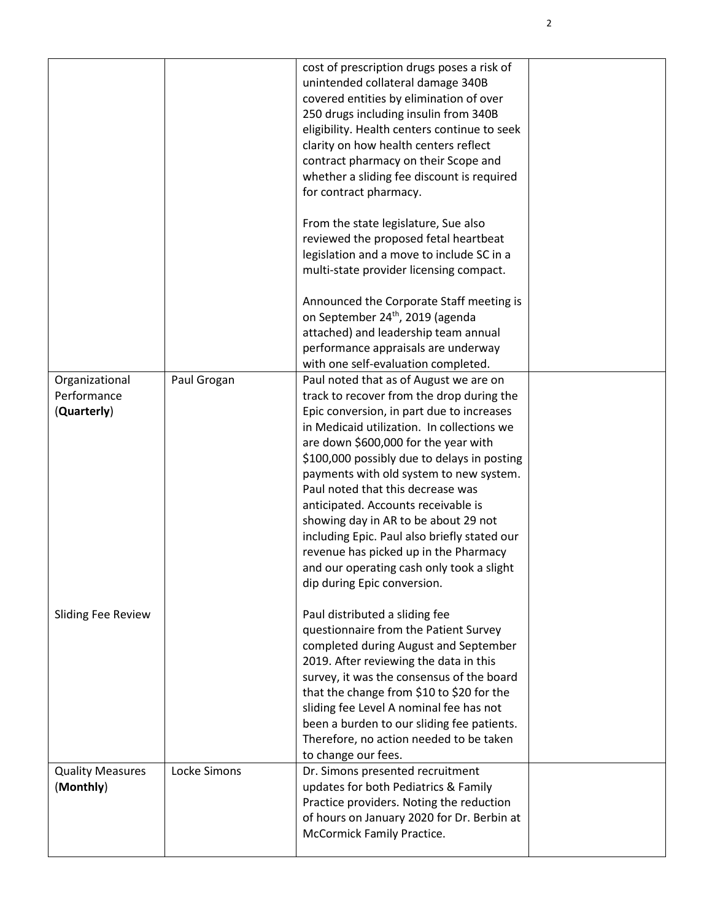|                           |              | cost of prescription drugs poses a risk of<br>unintended collateral damage 340B<br>covered entities by elimination of over<br>250 drugs including insulin from 340B<br>eligibility. Health centers continue to seek<br>clarity on how health centers reflect<br>contract pharmacy on their Scope and<br>whether a sliding fee discount is required<br>for contract pharmacy.<br>From the state legislature, Sue also<br>reviewed the proposed fetal heartbeat<br>legislation and a move to include SC in a<br>multi-state provider licensing compact.<br>Announced the Corporate Staff meeting is |  |
|---------------------------|--------------|---------------------------------------------------------------------------------------------------------------------------------------------------------------------------------------------------------------------------------------------------------------------------------------------------------------------------------------------------------------------------------------------------------------------------------------------------------------------------------------------------------------------------------------------------------------------------------------------------|--|
|                           |              | on September 24th, 2019 (agenda                                                                                                                                                                                                                                                                                                                                                                                                                                                                                                                                                                   |  |
|                           |              | attached) and leadership team annual                                                                                                                                                                                                                                                                                                                                                                                                                                                                                                                                                              |  |
|                           |              | performance appraisals are underway                                                                                                                                                                                                                                                                                                                                                                                                                                                                                                                                                               |  |
|                           |              | with one self-evaluation completed.                                                                                                                                                                                                                                                                                                                                                                                                                                                                                                                                                               |  |
| Organizational            | Paul Grogan  | Paul noted that as of August we are on                                                                                                                                                                                                                                                                                                                                                                                                                                                                                                                                                            |  |
| Performance               |              | track to recover from the drop during the                                                                                                                                                                                                                                                                                                                                                                                                                                                                                                                                                         |  |
| (Quarterly)               |              | Epic conversion, in part due to increases<br>in Medicaid utilization. In collections we                                                                                                                                                                                                                                                                                                                                                                                                                                                                                                           |  |
|                           |              | are down \$600,000 for the year with                                                                                                                                                                                                                                                                                                                                                                                                                                                                                                                                                              |  |
|                           |              | \$100,000 possibly due to delays in posting                                                                                                                                                                                                                                                                                                                                                                                                                                                                                                                                                       |  |
|                           |              | payments with old system to new system.                                                                                                                                                                                                                                                                                                                                                                                                                                                                                                                                                           |  |
|                           |              | Paul noted that this decrease was                                                                                                                                                                                                                                                                                                                                                                                                                                                                                                                                                                 |  |
|                           |              | anticipated. Accounts receivable is                                                                                                                                                                                                                                                                                                                                                                                                                                                                                                                                                               |  |
|                           |              | showing day in AR to be about 29 not                                                                                                                                                                                                                                                                                                                                                                                                                                                                                                                                                              |  |
|                           |              | including Epic. Paul also briefly stated our                                                                                                                                                                                                                                                                                                                                                                                                                                                                                                                                                      |  |
|                           |              | revenue has picked up in the Pharmacy                                                                                                                                                                                                                                                                                                                                                                                                                                                                                                                                                             |  |
|                           |              | and our operating cash only took a slight                                                                                                                                                                                                                                                                                                                                                                                                                                                                                                                                                         |  |
|                           |              | dip during Epic conversion.                                                                                                                                                                                                                                                                                                                                                                                                                                                                                                                                                                       |  |
| <b>Sliding Fee Review</b> |              | Paul distributed a sliding fee                                                                                                                                                                                                                                                                                                                                                                                                                                                                                                                                                                    |  |
|                           |              | questionnaire from the Patient Survey                                                                                                                                                                                                                                                                                                                                                                                                                                                                                                                                                             |  |
|                           |              | completed during August and September                                                                                                                                                                                                                                                                                                                                                                                                                                                                                                                                                             |  |
|                           |              | 2019. After reviewing the data in this                                                                                                                                                                                                                                                                                                                                                                                                                                                                                                                                                            |  |
|                           |              | survey, it was the consensus of the board                                                                                                                                                                                                                                                                                                                                                                                                                                                                                                                                                         |  |
|                           |              | that the change from \$10 to \$20 for the                                                                                                                                                                                                                                                                                                                                                                                                                                                                                                                                                         |  |
|                           |              | sliding fee Level A nominal fee has not                                                                                                                                                                                                                                                                                                                                                                                                                                                                                                                                                           |  |
|                           |              | been a burden to our sliding fee patients.                                                                                                                                                                                                                                                                                                                                                                                                                                                                                                                                                        |  |
|                           |              | Therefore, no action needed to be taken<br>to change our fees.                                                                                                                                                                                                                                                                                                                                                                                                                                                                                                                                    |  |
| <b>Quality Measures</b>   | Locke Simons | Dr. Simons presented recruitment                                                                                                                                                                                                                                                                                                                                                                                                                                                                                                                                                                  |  |
| (Monthly)                 |              | updates for both Pediatrics & Family                                                                                                                                                                                                                                                                                                                                                                                                                                                                                                                                                              |  |
|                           |              | Practice providers. Noting the reduction                                                                                                                                                                                                                                                                                                                                                                                                                                                                                                                                                          |  |
|                           |              | of hours on January 2020 for Dr. Berbin at                                                                                                                                                                                                                                                                                                                                                                                                                                                                                                                                                        |  |
|                           |              | McCormick Family Practice.                                                                                                                                                                                                                                                                                                                                                                                                                                                                                                                                                                        |  |
|                           |              |                                                                                                                                                                                                                                                                                                                                                                                                                                                                                                                                                                                                   |  |

2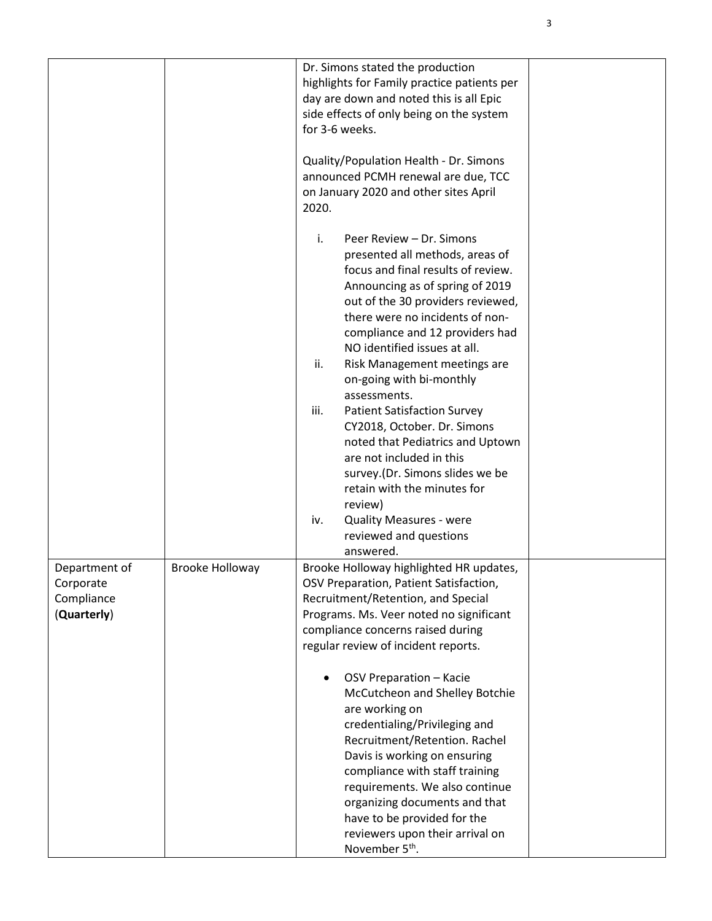|                                                         |                        | Dr. Simons stated the production<br>highlights for Family practice patients per<br>day are down and noted this is all Epic<br>side effects of only being on the system<br>for 3-6 weeks.<br>Quality/Population Health - Dr. Simons<br>announced PCMH renewal are due, TCC<br>on January 2020 and other sites April<br>2020.                              |  |
|---------------------------------------------------------|------------------------|----------------------------------------------------------------------------------------------------------------------------------------------------------------------------------------------------------------------------------------------------------------------------------------------------------------------------------------------------------|--|
|                                                         |                        | i.<br>Peer Review - Dr. Simons<br>presented all methods, areas of<br>focus and final results of review.<br>Announcing as of spring of 2019<br>out of the 30 providers reviewed,<br>there were no incidents of non-<br>compliance and 12 providers had<br>NO identified issues at all.<br>ii.<br>Risk Management meetings are<br>on-going with bi-monthly |  |
|                                                         |                        | assessments.<br>iii.<br><b>Patient Satisfaction Survey</b><br>CY2018, October. Dr. Simons<br>noted that Pediatrics and Uptown<br>are not included in this<br>survey.(Dr. Simons slides we be<br>retain with the minutes for<br>review)<br><b>Quality Measures - were</b><br>iv.                                                                          |  |
|                                                         |                        | reviewed and questions<br>answered.                                                                                                                                                                                                                                                                                                                      |  |
| Department of<br>Corporate<br>Compliance<br>(Quarterly) | <b>Brooke Holloway</b> | Brooke Holloway highlighted HR updates,<br>OSV Preparation, Patient Satisfaction,<br>Recruitment/Retention, and Special<br>Programs. Ms. Veer noted no significant<br>compliance concerns raised during<br>regular review of incident reports.                                                                                                           |  |
|                                                         |                        | OSV Preparation - Kacie<br>McCutcheon and Shelley Botchie<br>are working on<br>credentialing/Privileging and<br>Recruitment/Retention. Rachel<br>Davis is working on ensuring<br>compliance with staff training<br>requirements. We also continue<br>organizing documents and that<br>have to be provided for the<br>reviewers upon their arrival on     |  |
|                                                         |                        | November 5 <sup>th</sup> .                                                                                                                                                                                                                                                                                                                               |  |

3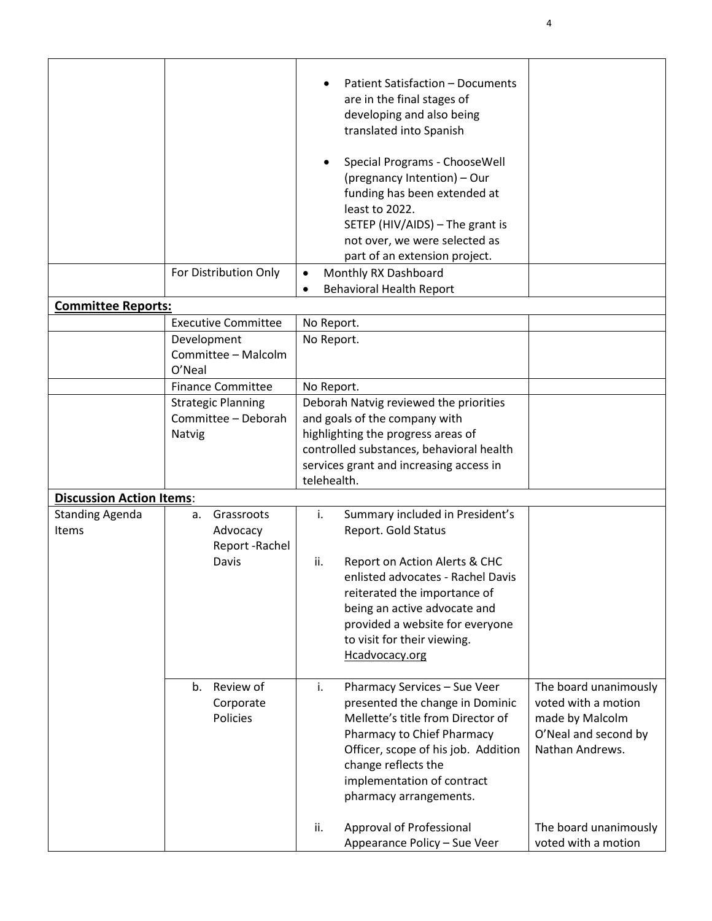|                                 | For Distribution Only                        | Patient Satisfaction - Documents<br>are in the final stages of<br>developing and also being<br>translated into Spanish<br>Special Programs - ChooseWell<br>(pregnancy Intention) - Our<br>funding has been extended at<br>least to 2022.<br>SETEP (HIV/AIDS) - The grant is<br>not over, we were selected as<br>part of an extension project.<br>Monthly RX Dashboard<br>$\bullet$<br><b>Behavioral Health Report</b><br>$\bullet$ |                                         |
|---------------------------------|----------------------------------------------|------------------------------------------------------------------------------------------------------------------------------------------------------------------------------------------------------------------------------------------------------------------------------------------------------------------------------------------------------------------------------------------------------------------------------------|-----------------------------------------|
| <b>Committee Reports:</b>       |                                              |                                                                                                                                                                                                                                                                                                                                                                                                                                    |                                         |
|                                 | <b>Executive Committee</b>                   | No Report.                                                                                                                                                                                                                                                                                                                                                                                                                         |                                         |
|                                 | Development<br>Committee - Malcolm<br>O'Neal | No Report.                                                                                                                                                                                                                                                                                                                                                                                                                         |                                         |
|                                 | <b>Finance Committee</b>                     | No Report.                                                                                                                                                                                                                                                                                                                                                                                                                         |                                         |
|                                 | <b>Strategic Planning</b>                    | Deborah Natvig reviewed the priorities                                                                                                                                                                                                                                                                                                                                                                                             |                                         |
|                                 | Committee - Deborah                          | and goals of the company with                                                                                                                                                                                                                                                                                                                                                                                                      |                                         |
|                                 | Natvig                                       | highlighting the progress areas of                                                                                                                                                                                                                                                                                                                                                                                                 |                                         |
|                                 |                                              | controlled substances, behavioral health<br>services grant and increasing access in                                                                                                                                                                                                                                                                                                                                                |                                         |
|                                 |                                              | telehealth.                                                                                                                                                                                                                                                                                                                                                                                                                        |                                         |
| <b>Discussion Action Items:</b> |                                              |                                                                                                                                                                                                                                                                                                                                                                                                                                    |                                         |
| <b>Standing Agenda</b>          | Grassroots<br>а.                             | Summary included in President's<br>i.                                                                                                                                                                                                                                                                                                                                                                                              |                                         |
| Items                           | Advocacy                                     | Report. Gold Status                                                                                                                                                                                                                                                                                                                                                                                                                |                                         |
|                                 | Report-Rachel                                |                                                                                                                                                                                                                                                                                                                                                                                                                                    |                                         |
|                                 | Davis                                        | Report on Action Alerts & CHC<br>ii.                                                                                                                                                                                                                                                                                                                                                                                               |                                         |
|                                 |                                              | enlisted advocates - Rachel Davis                                                                                                                                                                                                                                                                                                                                                                                                  |                                         |
|                                 |                                              | reiterated the importance of                                                                                                                                                                                                                                                                                                                                                                                                       |                                         |
|                                 |                                              | being an active advocate and<br>provided a website for everyone                                                                                                                                                                                                                                                                                                                                                                    |                                         |
|                                 |                                              | to visit for their viewing.                                                                                                                                                                                                                                                                                                                                                                                                        |                                         |
|                                 |                                              | Hcadvocacy.org                                                                                                                                                                                                                                                                                                                                                                                                                     |                                         |
|                                 |                                              |                                                                                                                                                                                                                                                                                                                                                                                                                                    |                                         |
|                                 | Review of<br>b.                              | Pharmacy Services - Sue Veer<br>i.                                                                                                                                                                                                                                                                                                                                                                                                 | The board unanimously                   |
|                                 | Corporate                                    | presented the change in Dominic                                                                                                                                                                                                                                                                                                                                                                                                    | voted with a motion                     |
|                                 | Policies                                     | Mellette's title from Director of                                                                                                                                                                                                                                                                                                                                                                                                  | made by Malcolm<br>O'Neal and second by |
|                                 |                                              | Pharmacy to Chief Pharmacy<br>Officer, scope of his job. Addition                                                                                                                                                                                                                                                                                                                                                                  | Nathan Andrews.                         |
|                                 |                                              | change reflects the                                                                                                                                                                                                                                                                                                                                                                                                                |                                         |
|                                 |                                              | implementation of contract                                                                                                                                                                                                                                                                                                                                                                                                         |                                         |
|                                 |                                              | pharmacy arrangements.                                                                                                                                                                                                                                                                                                                                                                                                             |                                         |
|                                 |                                              |                                                                                                                                                                                                                                                                                                                                                                                                                                    |                                         |
|                                 |                                              | ii.<br>Approval of Professional                                                                                                                                                                                                                                                                                                                                                                                                    | The board unanimously                   |
|                                 |                                              | Appearance Policy - Sue Veer                                                                                                                                                                                                                                                                                                                                                                                                       | voted with a motion                     |

4